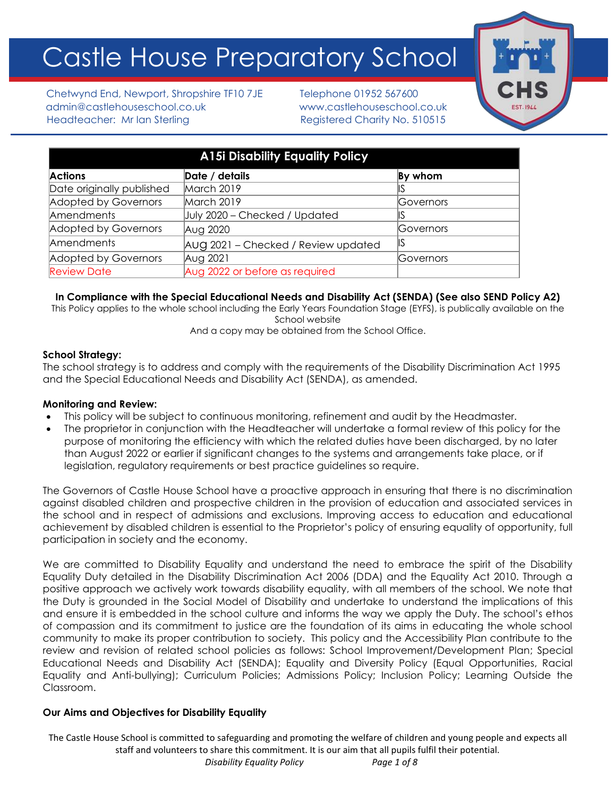# Castle House Preparatory School



Chetwynd End, Newport, Shropshire TF10 7JE Telephone 01952 567600 admin@castlehouseschool.co.uk www.castlehouseschool.co.uk Headteacher: Mr Ian Sterling Theorem Registered Charity No. 510515

| <b>A15i Disability Equality Policy</b> |                                     |           |
|----------------------------------------|-------------------------------------|-----------|
| <b>Actions</b>                         | Date / details                      | By whom   |
| Date originally published              | March 2019                          |           |
| Adopted by Governors                   | March 2019                          | Governors |
| Amendments                             | July 2020 - Checked / Updated       |           |
| Adopted by Governors                   | Aug 2020                            | Governors |
| Amendments                             | AUG 2021 - Checked / Review updated | IS        |
| Adopted by Governors                   | Aug 2021                            | Governors |
| <b>Review Date</b>                     | Aug 2022 or before as required      |           |

# **In Compliance with the Special Educational Needs and Disability Act (SENDA) (See also SEND Policy A2)**

This Policy applies to the whole school including the Early Years Foundation Stage (EYFS), is publically available on the School website

And a copy may be obtained from the School Office.

## **School Strategy:**

The school strategy is to address and comply with the requirements of the Disability Discrimination Act 1995 and the Special Educational Needs and Disability Act (SENDA), as amended.

#### **Monitoring and Review:**

- This policy will be subject to continuous monitoring, refinement and audit by the Headmaster.
- The proprietor in conjunction with the Headteacher will undertake a formal review of this policy for the purpose of monitoring the efficiency with which the related duties have been discharged, by no later than August 2022 or earlier if significant changes to the systems and arrangements take place, or if legislation, regulatory requirements or best practice guidelines so require.

The Governors of Castle House School have a proactive approach in ensuring that there is no discrimination against disabled children and prospective children in the provision of education and associated services in the school and in respect of admissions and exclusions. Improving access to education and educational achievement by disabled children is essential to the Proprietor's policy of ensuring equality of opportunity, full participation in society and the economy.

We are committed to Disability Equality and understand the need to embrace the spirit of the Disability Equality Duty detailed in the Disability Discrimination Act 2006 (DDA) and the Equality Act 2010. Through a positive approach we actively work towards disability equality, with all members of the school. We note that the Duty is grounded in the Social Model of Disability and undertake to understand the implications of this and ensure it is embedded in the school culture and informs the way we apply the Duty. The school's ethos of compassion and its commitment to justice are the foundation of its aims in educating the whole school community to make its proper contribution to society. This policy and the Accessibility Plan contribute to the review and revision of related school policies as follows: School Improvement/Development Plan; Special Educational Needs and Disability Act (SENDA); Equality and Diversity Policy (Equal Opportunities, Racial Equality and Anti-bullying); Curriculum Policies; Admissions Policy; Inclusion Policy; Learning Outside the Classroom.

# **Our Aims and Objectives for Disability Equality**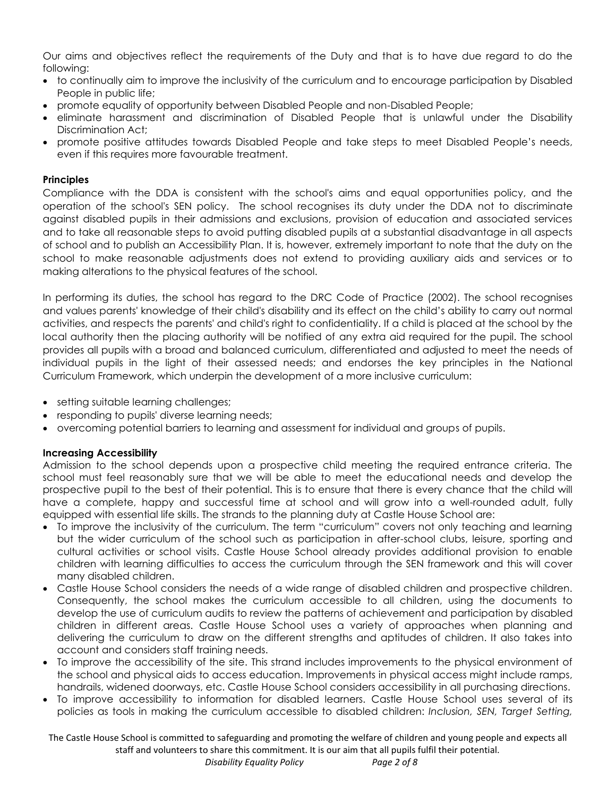Our aims and objectives reflect the requirements of the Duty and that is to have due regard to do the following:

- to continually aim to improve the inclusivity of the curriculum and to encourage participation by Disabled People in public life;
- promote equality of opportunity between Disabled People and non-Disabled People;
- eliminate harassment and discrimination of Disabled People that is unlawful under the Disability Discrimination Act;
- promote positive attitudes towards Disabled People and take steps to meet Disabled People's needs, even if this requires more favourable treatment.

# **Principles**

Compliance with the DDA is consistent with the school's aims and equal opportunities policy, and the operation of the school's SEN policy. The school recognises its duty under the DDA not to discriminate against disabled pupils in their admissions and exclusions, provision of education and associated services and to take all reasonable steps to avoid putting disabled pupils at a substantial disadvantage in all aspects of school and to publish an Accessibility Plan. It is, however, extremely important to note that the duty on the school to make reasonable adjustments does not extend to providing auxiliary aids and services or to making alterations to the physical features of the school.

In performing its duties, the school has regard to the DRC Code of Practice (2002). The school recognises and values parents' knowledge of their child's disability and its effect on the child's ability to carry out normal activities, and respects the parents' and child's right to confidentiality. If a child is placed at the school by the local authority then the placing authority will be notified of any extra aid required for the pupil. The school provides all pupils with a broad and balanced curriculum, differentiated and adjusted to meet the needs of individual pupils in the light of their assessed needs; and endorses the key principles in the National Curriculum Framework, which underpin the development of a more inclusive curriculum:

- setting suitable learning challenges;
- responding to pupils' diverse learning needs;
- overcoming potential barriers to learning and assessment for individual and groups of pupils.

#### **Increasing Accessibility**

Admission to the school depends upon a prospective child meeting the required entrance criteria. The school must feel reasonably sure that we will be able to meet the educational needs and develop the prospective pupil to the best of their potential. This is to ensure that there is every chance that the child will have a complete, happy and successful time at school and will grow into a well-rounded adult, fully equipped with essential life skills. The strands to the planning duty at Castle House School are:

- To improve the inclusivity of the curriculum. The term "curriculum" covers not only teaching and learning but the wider curriculum of the school such as participation in after-school clubs, leisure, sporting and cultural activities or school visits. Castle House School already provides additional provision to enable children with learning difficulties to access the curriculum through the SEN framework and this will cover many disabled children.
- Castle House School considers the needs of a wide range of disabled children and prospective children. Consequently, the school makes the curriculum accessible to all children, using the documents to develop the use of curriculum audits to review the patterns of achievement and participation by disabled children in different areas. Castle House School uses a variety of approaches when planning and delivering the curriculum to draw on the different strengths and aptitudes of children. It also takes into account and considers staff training needs.
- To improve the accessibility of the site. This strand includes improvements to the physical environment of the school and physical aids to access education. Improvements in physical access might include ramps, handrails, widened doorways, etc. Castle House School considers accessibility in all purchasing directions.
- To improve accessibility to information for disabled learners. Castle House School uses several of its policies as tools in making the curriculum accessible to disabled children: *Inclusion, SEN, Target Setting,*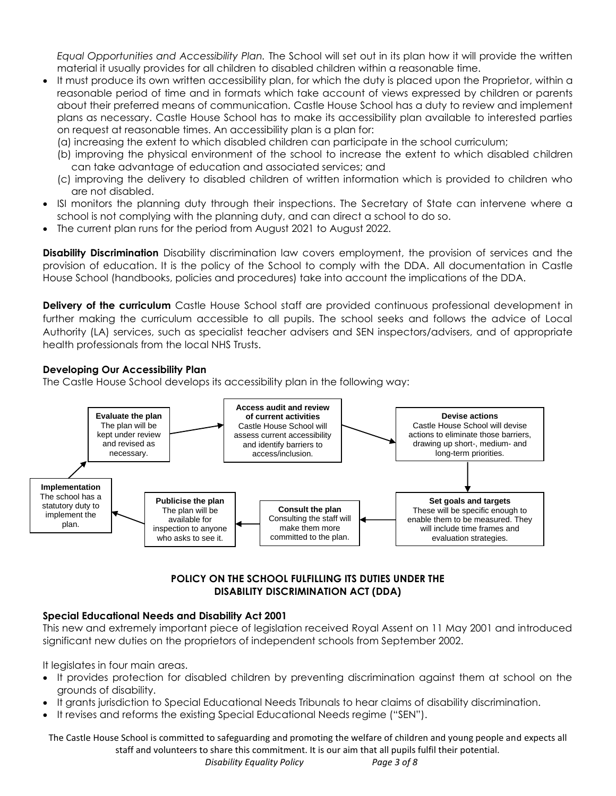*Equal Opportunities and Accessibility Plan.* The School will set out in its plan how it will provide the written material it usually provides for all children to disabled children within a reasonable time.

- It must produce its own written accessibility plan, for which the duty is placed upon the Proprietor, within a reasonable period of time and in formats which take account of views expressed by children or parents about their preferred means of communication. Castle House School has a duty to review and implement plans as necessary. Castle House School has to make its accessibility plan available to interested parties on request at reasonable times. An accessibility plan is a plan for:
	- (a) increasing the extent to which disabled children can participate in the school curriculum;
	- (b) improving the physical environment of the school to increase the extent to which disabled children can take advantage of education and associated services; and
	- (c) improving the delivery to disabled children of written information which is provided to children who are not disabled.
- ISI monitors the planning duty through their inspections. The Secretary of State can intervene where a school is not complying with the planning duty, and can direct a school to do so.
- The current plan runs for the period from August 2021 to August 2022.

**Disability Discrimination** Disability discrimination law covers employment, the provision of services and the provision of education. It is the policy of the School to comply with the DDA. All documentation in Castle House School (handbooks, policies and procedures) take into account the implications of the DDA.

**Delivery of the curriculum** Castle House School staff are provided continuous professional development in further making the curriculum accessible to all pupils. The school seeks and follows the advice of Local Authority (LA) services, such as specialist teacher advisers and SEN inspectors/advisers, and of appropriate health professionals from the local NHS Trusts.

## **Developing Our Accessibility Plan**

The Castle House School develops its accessibility plan in the following way:



# **POLICY ON THE SCHOOL FULFILLING ITS DUTIES UNDER THE DISABILITY DISCRIMINATION ACT (DDA)**

#### **Special Educational Needs and Disability Act 2001**

This new and extremely important piece of legislation received Royal Assent on 11 May 2001 and introduced significant new duties on the proprietors of independent schools from September 2002.

It legislates in four main areas.

- It provides protection for disabled children by preventing discrimination against them at school on the grounds of disability.
- It grants jurisdiction to Special Educational Needs Tribunals to hear claims of disability discrimination.
- It revises and reforms the existing Special Educational Needs regime ("SEN").

The Castle House School is committed to safeguarding and promoting the welfare of children and young people and expects all staff and volunteers to share this commitment. It is our aim that all pupils fulfil their potential.

 *Disability Equality Policy Page 3 of 8*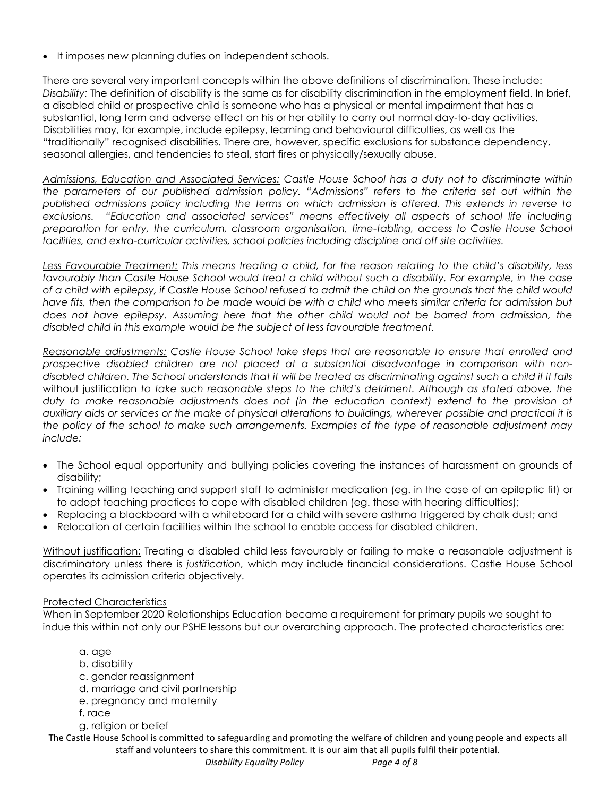• It imposes new planning duties on independent schools.

There are several very important concepts within the above definitions of discrimination. These include: *Disability:* The definition of disability is the same as for disability discrimination in the employment field. In brief, a disabled child or prospective child is someone who has a physical or mental impairment that has a substantial, long term and adverse effect on his or her ability to carry out normal day-to-day activities. Disabilities may, for example, include epilepsy, learning and behavioural difficulties, as well as the "traditionally" recognised disabilities. There are, however, specific exclusions for substance dependency, seasonal allergies, and tendencies to steal, start fires or physically/sexually abuse.

*Admissions, Education and Associated Services: Castle House School has a duty not to discriminate within the parameters of our published admission policy. "Admissions" refers to the criteria set out within the published admissions policy including the terms on which admission is offered. This extends in reverse to exclusions. "Education and associated services" means effectively all aspects of school life including preparation for entry, the curriculum, classroom organisation, time-tabling, access to Castle House School facilities, and extra-curricular activities, school policies including discipline and off site activities.*

*Less Favourable Treatment: This means treating a child, for the reason relating to the child's disability, less favourably than Castle House School would treat a child without such a disability. For example, in the case of a child with epilepsy, if Castle House School refused to admit the child on the grounds that the child would have fits, then the comparison to be made would be with a child who meets similar criteria for admission but does not have epilepsy. Assuming here that the other child would not be barred from admission, the disabled child in this example would be the subject of less favourable treatment.*

*Reasonable adjustments: Castle House School take steps that are reasonable to ensure that enrolled and prospective disabled children are not placed at a substantial disadvantage in comparison with nondisabled children. The School understands that it will be treated as discriminating against such a child if it fails*  without justification *to take such reasonable steps to the child's detriment. Although as stated above, the duty to make reasonable adjustments does not (in the education context) extend to the provision of auxiliary aids or services or the make of physical alterations to buildings, wherever possible and practical it is the policy of the school to make such arrangements. Examples of the type of reasonable adjustment may include:*

- The School equal opportunity and bullying policies covering the instances of harassment on grounds of disability;
- Training willing teaching and support staff to administer medication (eg. in the case of an epileptic fit) or to adopt teaching practices to cope with disabled children (eg. those with hearing difficulties);
- Replacing a blackboard with a whiteboard for a child with severe asthma triggered by chalk dust; and
- Relocation of certain facilities within the school to enable access for disabled children.

Without justification; Treating a disabled child less favourably or failing to make a reasonable adjustment is discriminatory unless there is *justification,* which may include financial considerations. Castle House School operates its admission criteria objectively.

#### Protected Characteristics

When in September 2020 Relationships Education became a requirement for primary pupils we sought to indue this within not only our PSHE lessons but our overarching approach. The protected characteristics are:

- a. age
- b. disability
- c. gender reassignment
- d. marriage and civil partnership
- e. pregnancy and maternity
- f. race
- g. religion or belief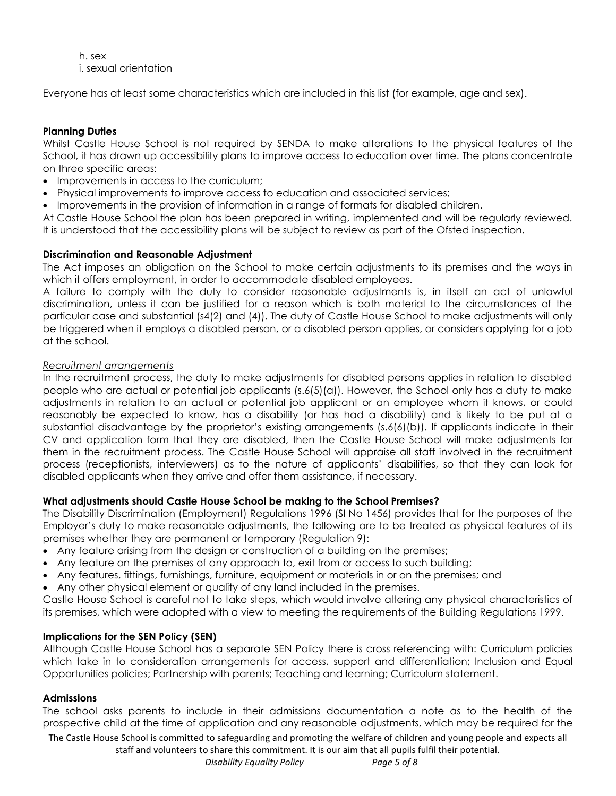h. sex i. sexual orientation

Everyone has at least some characteristics which are included in this list (for example, age and sex).

## **Planning Duties**

Whilst Castle House School is not required by SENDA to make alterations to the physical features of the School, it has drawn up accessibility plans to improve access to education over time. The plans concentrate on three specific areas:

- Improvements in access to the curriculum;
- Physical improvements to improve access to education and associated services;
- Improvements in the provision of information in a range of formats for disabled children.

At Castle House School the plan has been prepared in writing, implemented and will be regularly reviewed. It is understood that the accessibility plans will be subject to review as part of the Ofsted inspection.

#### **Discrimination and Reasonable Adjustment**

The Act imposes an obligation on the School to make certain adjustments to its premises and the ways in which it offers employment, in order to accommodate disabled employees.

A failure to comply with the duty to consider reasonable adjustments is, in itself an act of unlawful discrimination, unless it can be justified for a reason which is both material to the circumstances of the particular case and substantial (s4(2) and (4)). The duty of Castle House School to make adjustments will only be triggered when it employs a disabled person, or a disabled person applies, or considers applying for a job at the school.

#### *Recruitment arrangements*

In the recruitment process, the duty to make adjustments for disabled persons applies in relation to disabled people who are actual or potential job applicants (s.6(5)(a)). However, the School only has a duty to make adjustments in relation to an actual or potential job applicant or an employee whom it knows, or could reasonably be expected to know, has a disability (or has had a disability) and is likely to be put at a substantial disadvantage by the proprietor's existing arrangements (s.6(6)(b)). If applicants indicate in their CV and application form that they are disabled, then the Castle House School will make adjustments for them in the recruitment process. The Castle House School will appraise all staff involved in the recruitment process (receptionists, interviewers) as to the nature of applicants' disabilities, so that they can look for disabled applicants when they arrive and offer them assistance, if necessary.

#### **What adjustments should Castle House School be making to the School Premises?**

The Disability Discrimination (Employment) Regulations 1996 (SI No 1456) provides that for the purposes of the Employer's duty to make reasonable adjustments, the following are to be treated as physical features of its premises whether they are permanent or temporary (Regulation 9):

- Any feature arising from the design or construction of a building on the premises;
- Any feature on the premises of any approach to, exit from or access to such building;
- Any features, fittings, furnishings, furniture, equipment or materials in or on the premises; and
- Any other physical element or quality of any land included in the premises.

Castle House School is careful not to take steps, which would involve altering any physical characteristics of its premises, which were adopted with a view to meeting the requirements of the Building Regulations 1999.

#### **Implications for the SEN Policy (SEN)**

Although Castle House School has a separate SEN Policy there is cross referencing with: Curriculum policies which take in to consideration arrangements for access, support and differentiation; Inclusion and Equal Opportunities policies; Partnership with parents; Teaching and learning; Curriculum statement.

#### **Admissions**

The school asks parents to include in their admissions documentation a note as to the health of the prospective child at the time of application and any reasonable adjustments, which may be required for the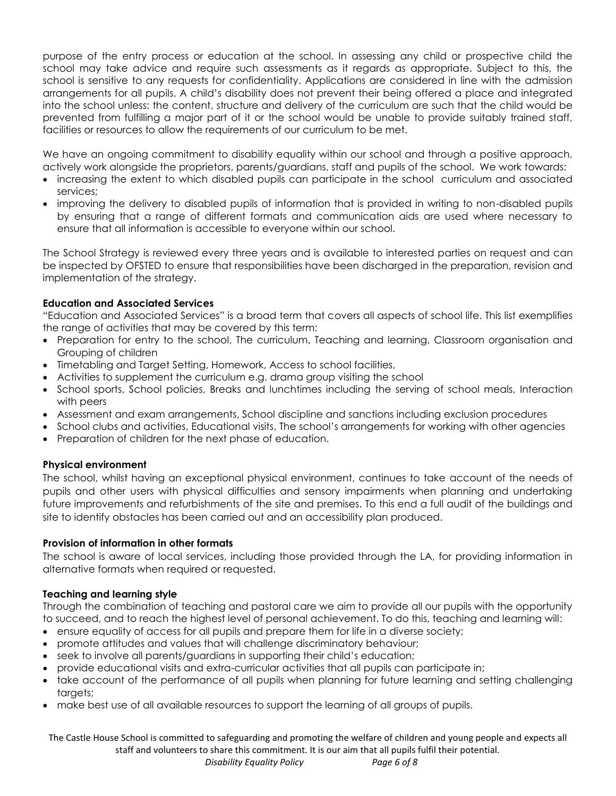purpose of the entry process or education at the school. In assessing any child or prospective child the school may take advice and require such assessments as it regards as appropriate. Subject to this, the school is sensitive to any requests for confidentiality. Applications are considered in line with the admission arrangements for all pupils. A child's disability does not prevent their being offered a place and integrated into the school unless: the content, structure and delivery of the curriculum are such that the child would be prevented from fulfilling a major part of it or the school would be unable to provide suitably trained staff, facilities or resources to allow the requirements of our curriculum to be met.

We have an ongoing commitment to disability equality within our school and through a positive approach, actively work alongside the proprietors, parents/guardians, staff and pupils of the school. We work towards:

- increasing the extent to which disabled pupils can participate in the school curriculum and associated services;
- improving the delivery to disabled pupils of information that is provided in writing to non-disabled pupils by ensuring that a range of different formats and communication aids are used where necessary to ensure that all information is accessible to everyone within our school.

The School Strategy is reviewed every three years and is available to interested parties on request and can be inspected by OFSTED to ensure that responsibilities have been discharged in the preparation, revision and implementation of the strategy.

## **Education and Associated Services**

"Education and Associated Services" is a broad term that covers all aspects of school life. This list exemplifies the range of activities that may be covered by this term:

- Preparation for entry to the school, The curriculum, Teaching and learning, Classroom organisation and Grouping of children
- Timetabling and Target Setting, Homework, Access to school facilities,
- Activities to supplement the curriculum e.g. drama group visiting the school
- School sports, School policies, Breaks and lunchtimes including the serving of school meals, Interaction with peers
- Assessment and exam arrangements, School discipline and sanctions including exclusion procedures
- School clubs and activities, Educational visits, The school's arrangements for working with other agencies
- Preparation of children for the next phase of education.

#### **Physical environment**

The school, whilst having an exceptional physical environment, continues to take account of the needs of pupils and other users with physical difficulties and sensory impairments when planning and undertaking future improvements and refurbishments of the site and premises. To this end a full audit of the buildings and site to identify obstacles has been carried out and an accessibility plan produced.

#### **Provision of information in other formats**

The school is aware of local services, including those provided through the LA, for providing information in alternative formats when required or requested.

#### **Teaching and learning style**

Through the combination of teaching and pastoral care we aim to provide all our pupils with the opportunity to succeed, and to reach the highest level of personal achievement. To do this, teaching and learning will:

- ensure equality of access for all pupils and prepare them for life in a diverse society;
- promote attitudes and values that will challenge discriminatory behaviour;
- seek to involve all parents/guardians in supporting their child's education;
- provide educational visits and extra-curricular activities that all pupils can participate in;
- take account of the performance of all pupils when planning for future learning and setting challenging targets;
- make best use of all available resources to support the learning of all groups of pupils.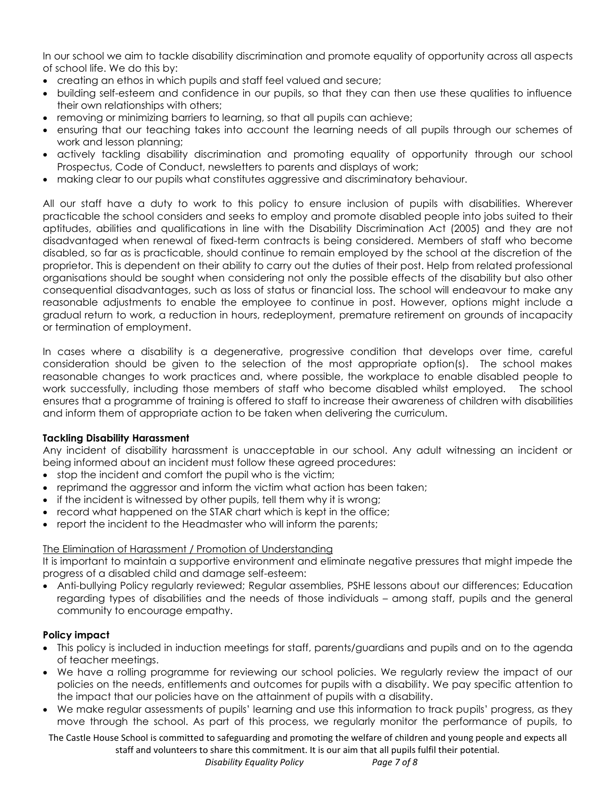In our school we aim to tackle disability discrimination and promote equality of opportunity across all aspects of school life. We do this by:

- creating an ethos in which pupils and staff feel valued and secure;
- building self-esteem and confidence in our pupils, so that they can then use these qualities to influence their own relationships with others;
- removing or minimizing barriers to learning, so that all pupils can achieve;
- ensuring that our teaching takes into account the learning needs of all pupils through our schemes of work and lesson planning;
- actively tackling disability discrimination and promoting equality of opportunity through our school Prospectus, Code of Conduct, newsletters to parents and displays of work;
- making clear to our pupils what constitutes aggressive and discriminatory behaviour.

All our staff have a duty to work to this policy to ensure inclusion of pupils with disabilities. Wherever practicable the school considers and seeks to employ and promote disabled people into jobs suited to their aptitudes, abilities and qualifications in line with the Disability Discrimination Act (2005) and they are not disadvantaged when renewal of fixed-term contracts is being considered. Members of staff who become disabled, so far as is practicable, should continue to remain employed by the school at the discretion of the proprietor. This is dependent on their ability to carry out the duties of their post. Help from related professional organisations should be sought when considering not only the possible effects of the disability but also other consequential disadvantages, such as loss of status or financial loss. The school will endeavour to make any reasonable adjustments to enable the employee to continue in post. However, options might include a gradual return to work, a reduction in hours, redeployment, premature retirement on grounds of incapacity or termination of employment.

In cases where a disability is a degenerative, progressive condition that develops over time, careful consideration should be given to the selection of the most appropriate option(s). The school makes reasonable changes to work practices and, where possible, the workplace to enable disabled people to work successfully, including those members of staff who become disabled whilst employed. The school ensures that a programme of training is offered to staff to increase their awareness of children with disabilities and inform them of appropriate action to be taken when delivering the curriculum.

#### **Tackling Disability Harassment**

Any incident of disability harassment is unacceptable in our school. Any adult witnessing an incident or being informed about an incident must follow these agreed procedures:

- stop the incident and comfort the pupil who is the victim;
- reprimand the aggressor and inform the victim what action has been taken;
- if the incident is witnessed by other pupils, tell them why it is wrong;
- record what happened on the STAR chart which is kept in the office;
- report the incident to the Headmaster who will inform the parents;

#### The Elimination of Harassment / Promotion of Understanding

It is important to maintain a supportive environment and eliminate negative pressures that might impede the progress of a disabled child and damage self-esteem:

• Anti-bullying Policy regularly reviewed; Regular assemblies, PSHE lessons about our differences; Education regarding types of disabilities and the needs of those individuals – among staff, pupils and the general community to encourage empathy.

#### **Policy impact**

- This policy is included in induction meetings for staff, parents/guardians and pupils and on to the agenda of teacher meetings.
- We have a rolling programme for reviewing our school policies. We regularly review the impact of our policies on the needs, entitlements and outcomes for pupils with a disability. We pay specific attention to the impact that our policies have on the attainment of pupils with a disability.
- We make regular assessments of pupils' learning and use this information to track pupils' progress, as they move through the school. As part of this process, we regularly monitor the performance of pupils, to